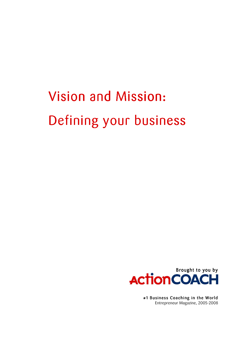# **Vision and Mission:** Defining your business



#1 Business Coaching in the World Entrepreneur Magazine, 2005-2008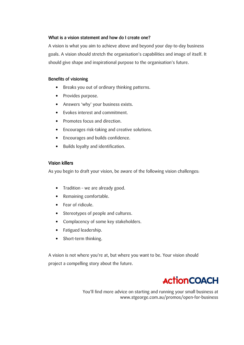### What is a vision statement and how do I create one?

A vision is what you aim to achieve above and beyond your day-to-day business goals. A vision should stretch the organisation's capabilities and image of itself. It should give shape and inspirational purpose to the organisation's future.

### **Benefits of visioning**

- Breaks you out of ordinary thinking patterns.
- Provides purpose.
- Answers 'why' your business exists.
- Evokes interest and commitment.
- Promotes focus and direction.
- Encourages risk-taking and creative solutions.
- Encourages and builds confidence.
- Builds loyalty and identification.

### **Vision killers**

As you begin to draft your vision, be aware of the following vision challenges.

- Tradition we are already good.
- Remaining comfortable.
- $\bullet$  Fear of ridicule.
- Stereotypes of people and cultures.
- Complacency of some key stakeholders.
- Fatigued leadership.
- Short-term thinking.

A vision is not where you're at, but where you want to be. Your vision should project a compelling story about the future.

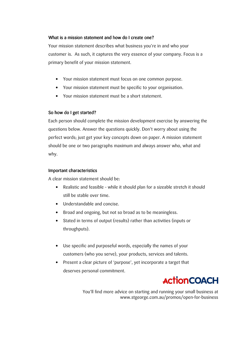### What is a mission statement and how do I create one?

Your mission statement describes what business you're in and who your customer is. As such, it captures the very essence of your company. Focus is a primary benefit of your mission statement.

- Your mission statement must focus on one common purpose.
- Your mission statement must be specific to your organisation.
- Your mission statement must be a short statement.

### So how do I get started?

Each person should complete the mission development exercise by answering the questions below. Answer the questions quickly. Don't worry about using the perfect words; just get your key concepts down on paper. A mission statement should be one or two paragraphs maximum and always answer who, what and why.

#### **Important characteristics**

A clear mission statement should be:

- Realistic and feasible while it should plan for a sizeable stretch it should  $\bullet$ still be stable over time.
- Understandable and concise.
- Broad and ongoing, but not so broad as to be meaningless.
- Stated in terms of output (results) rather than activities (inputs or throughputs).
- Use specific and purposeful words, especially the names of your customers (who you serve), your products, services and talents.
- Present a clear picture of 'purpose', yet incorporate a target that deserves personal commitment.

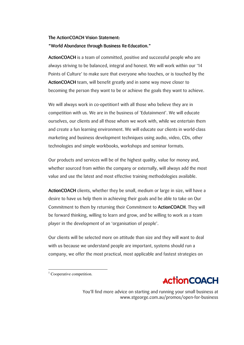## The ActionCOACH Vision Statement: "World Abundance through Business Re-Education."

ActionCOACH is a team of committed, positive and successful people who are always striving to be balanced, integral and honest. We will work within our '14 Points of Culture' to make sure that everyone who touches, or is touched by the **ActionCOACH** team, will benefit greatly and in some way move closer to becoming the person they want to be or achieve the goals they want to achieve.

We will always work in co-opetition1 with all those who believe they are in competition with us. We are in the business of 'Edutainment'. We will educate ourselves, our clients and all those whom we work with, while we entertain them and create a fun learning environment. We will educate our clients in world-class marketing and business development techniques using audio, video, CDs, other technologies and simple workbooks, workshops and seminar formats.

Our products and services will be of the highest quality, value for money and, whether sourced from within the company or externally, will always add the most value and use the latest and most effective training methodologies available.

ActionCOACH clients, whether they be small, medium or large in size, will have a desire to have us help them in achieving their goals and be able to take on Our Commitment to them by returning their Commitment to **ActionCOACH**. They will be forward thinking, willing to learn and grow, and be willing to work as a team player in the development of an 'organisation of people'.

Our clients will be selected more on attitude than size and they will want to deal with us because we understand people are important, systems should run a company, we offer the most practical, most applicable and fastest strategies on



 $\frac{1}{1}$  Cooperative competition.